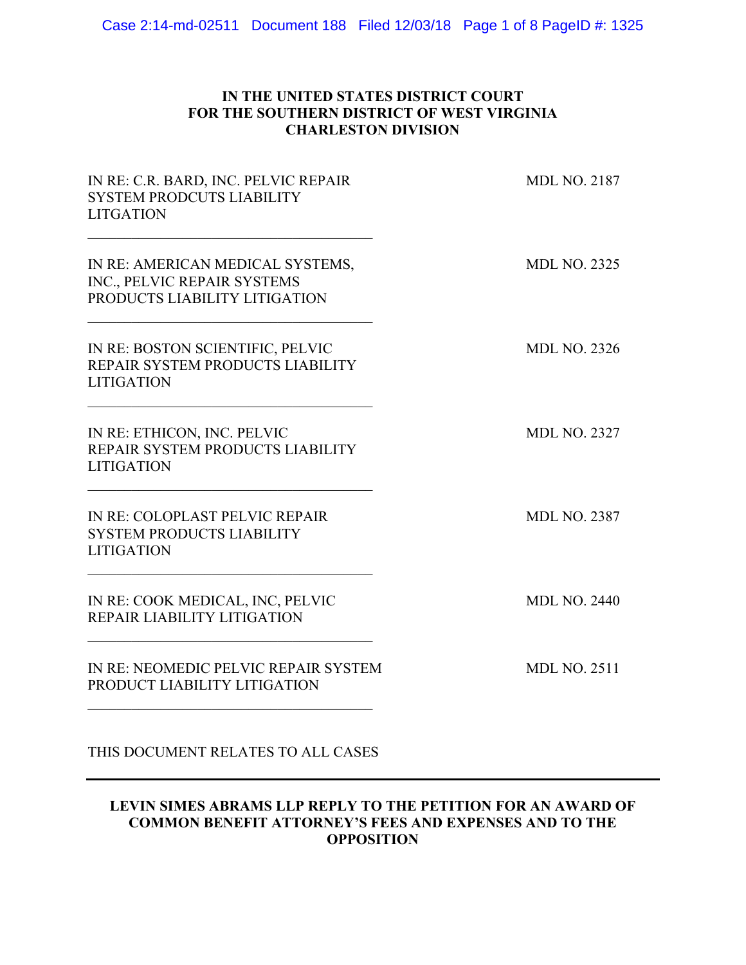# **IN THE UNITED STATES DISTRICT COURT FOR THE SOUTHERN DISTRICT OF WEST VIRGINIA CHARLESTON DIVISION**

| IN RE: C.R. BARD, INC. PELVIC REPAIR<br>SYSTEM PRODCUTS LIABILITY<br><b>LITGATION</b>            | <b>MDL NO. 2187</b> |
|--------------------------------------------------------------------------------------------------|---------------------|
| IN RE: AMERICAN MEDICAL SYSTEMS,<br>INC., PELVIC REPAIR SYSTEMS<br>PRODUCTS LIABILITY LITIGATION | <b>MDL NO. 2325</b> |
| IN RE: BOSTON SCIENTIFIC, PELVIC<br>REPAIR SYSTEM PRODUCTS LIABILITY<br><b>LITIGATION</b>        | <b>MDL NO. 2326</b> |
| IN RE: ETHICON, INC. PELVIC<br>REPAIR SYSTEM PRODUCTS LIABILITY<br><b>LITIGATION</b>             | <b>MDL NO. 2327</b> |
| IN RE: COLOPLAST PELVIC REPAIR<br>SYSTEM PRODUCTS LIABILITY<br><b>LITIGATION</b>                 | <b>MDL NO. 2387</b> |
| IN RE: COOK MEDICAL, INC, PELVIC<br>REPAIR LIABILITY LITIGATION                                  | <b>MDL NO. 2440</b> |
| IN RE: NEOMEDIC PELVIC REPAIR SYSTEM<br>PRODUCT LIABILITY LITIGATION                             | <b>MDL NO. 2511</b> |
| THIS DOCUMENT RELATES TO ALL CASES                                                               |                     |

## **LEVIN SIMES ABRAMS LLP REPLY TO THE PETITION FOR AN AWARD OF COMMON BENEFIT ATTORNEY'S FEES AND EXPENSES AND TO THE OPPOSITION**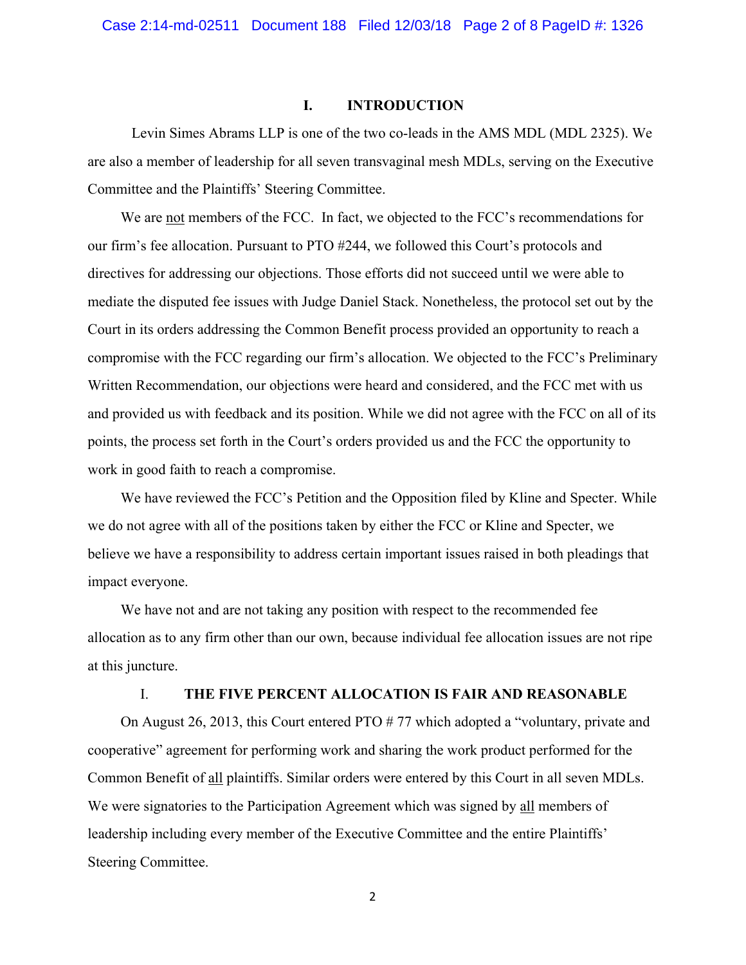#### **I. INTRODUCTION**

Levin Simes Abrams LLP is one of the two co-leads in the AMS MDL (MDL 2325). We are also a member of leadership for all seven transvaginal mesh MDLs, serving on the Executive Committee and the Plaintiffs' Steering Committee.

We are not members of the FCC. In fact, we objected to the FCC's recommendations for our firm's fee allocation. Pursuant to PTO #244, we followed this Court's protocols and directives for addressing our objections. Those efforts did not succeed until we were able to mediate the disputed fee issues with Judge Daniel Stack. Nonetheless, the protocol set out by the Court in its orders addressing the Common Benefit process provided an opportunity to reach a compromise with the FCC regarding our firm's allocation. We objected to the FCC's Preliminary Written Recommendation, our objections were heard and considered, and the FCC met with us and provided us with feedback and its position. While we did not agree with the FCC on all of its points, the process set forth in the Court's orders provided us and the FCC the opportunity to work in good faith to reach a compromise.

We have reviewed the FCC's Petition and the Opposition filed by Kline and Specter. While we do not agree with all of the positions taken by either the FCC or Kline and Specter, we believe we have a responsibility to address certain important issues raised in both pleadings that impact everyone.

We have not and are not taking any position with respect to the recommended fee allocation as to any firm other than our own, because individual fee allocation issues are not ripe at this juncture.

## I. **THE FIVE PERCENT ALLOCATION IS FAIR AND REASONABLE**

On August 26, 2013, this Court entered PTO # 77 which adopted a "voluntary, private and cooperative" agreement for performing work and sharing the work product performed for the Common Benefit of all plaintiffs. Similar orders were entered by this Court in all seven MDLs. We were signatories to the Participation Agreement which was signed by all members of leadership including every member of the Executive Committee and the entire Plaintiffs' Steering Committee.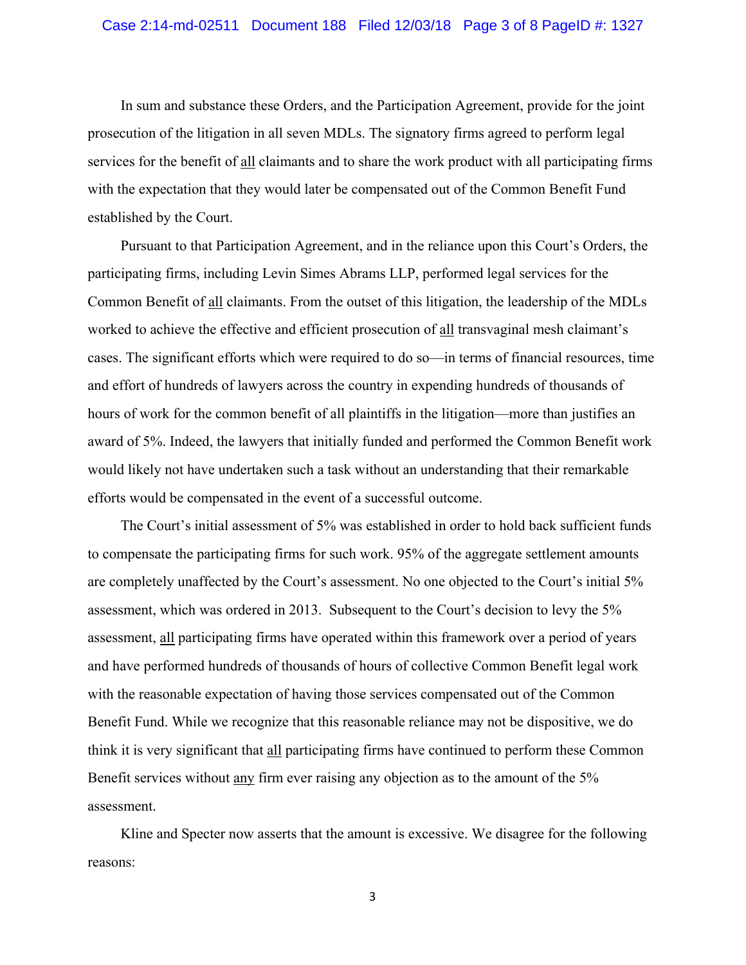In sum and substance these Orders, and the Participation Agreement, provide for the joint prosecution of the litigation in all seven MDLs. The signatory firms agreed to perform legal services for the benefit of all claimants and to share the work product with all participating firms with the expectation that they would later be compensated out of the Common Benefit Fund established by the Court.

Pursuant to that Participation Agreement, and in the reliance upon this Court's Orders, the participating firms, including Levin Simes Abrams LLP, performed legal services for the Common Benefit of all claimants. From the outset of this litigation, the leadership of the MDLs worked to achieve the effective and efficient prosecution of all transvaginal mesh claimant's cases. The significant efforts which were required to do so—in terms of financial resources, time and effort of hundreds of lawyers across the country in expending hundreds of thousands of hours of work for the common benefit of all plaintiffs in the litigation—more than justifies an award of 5%. Indeed, the lawyers that initially funded and performed the Common Benefit work would likely not have undertaken such a task without an understanding that their remarkable efforts would be compensated in the event of a successful outcome.

The Court's initial assessment of 5% was established in order to hold back sufficient funds to compensate the participating firms for such work. 95% of the aggregate settlement amounts are completely unaffected by the Court's assessment. No one objected to the Court's initial 5% assessment, which was ordered in 2013. Subsequent to the Court's decision to levy the 5% assessment, all participating firms have operated within this framework over a period of years and have performed hundreds of thousands of hours of collective Common Benefit legal work with the reasonable expectation of having those services compensated out of the Common Benefit Fund. While we recognize that this reasonable reliance may not be dispositive, we do think it is very significant that all participating firms have continued to perform these Common Benefit services without any firm ever raising any objection as to the amount of the 5% assessment.

Kline and Specter now asserts that the amount is excessive. We disagree for the following reasons: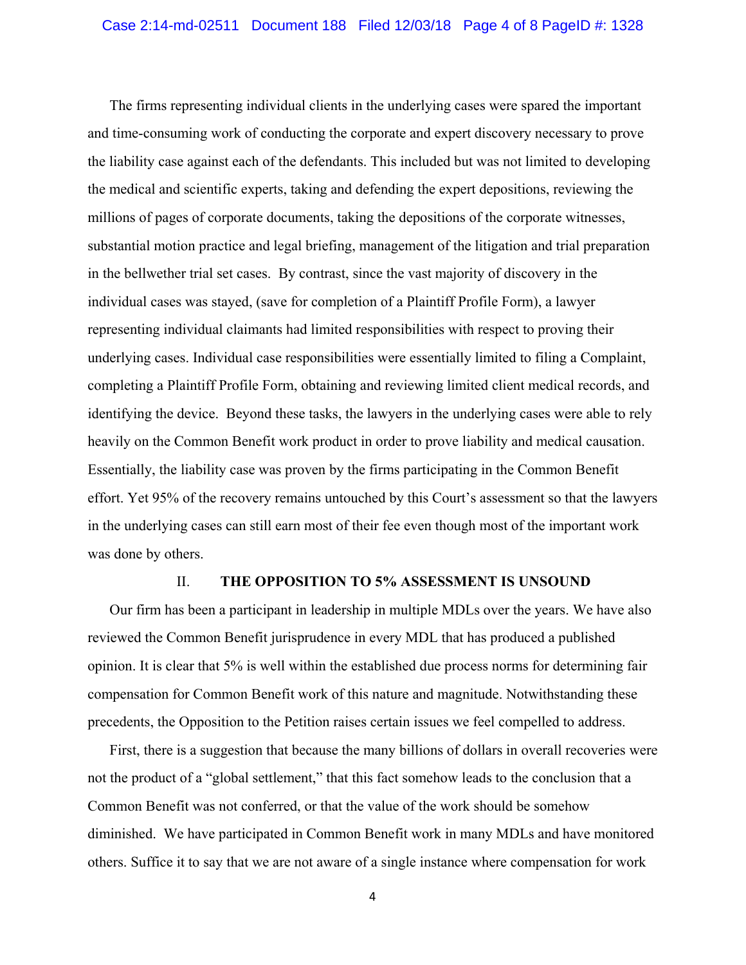The firms representing individual clients in the underlying cases were spared the important and time-consuming work of conducting the corporate and expert discovery necessary to prove the liability case against each of the defendants. This included but was not limited to developing the medical and scientific experts, taking and defending the expert depositions, reviewing the millions of pages of corporate documents, taking the depositions of the corporate witnesses, substantial motion practice and legal briefing, management of the litigation and trial preparation in the bellwether trial set cases. By contrast, since the vast majority of discovery in the individual cases was stayed, (save for completion of a Plaintiff Profile Form), a lawyer representing individual claimants had limited responsibilities with respect to proving their underlying cases. Individual case responsibilities were essentially limited to filing a Complaint, completing a Plaintiff Profile Form, obtaining and reviewing limited client medical records, and identifying the device. Beyond these tasks, the lawyers in the underlying cases were able to rely heavily on the Common Benefit work product in order to prove liability and medical causation. Essentially, the liability case was proven by the firms participating in the Common Benefit effort. Yet 95% of the recovery remains untouched by this Court's assessment so that the lawyers in the underlying cases can still earn most of their fee even though most of the important work was done by others.

## II. **THE OPPOSITION TO 5% ASSESSMENT IS UNSOUND**

Our firm has been a participant in leadership in multiple MDLs over the years. We have also reviewed the Common Benefit jurisprudence in every MDL that has produced a published opinion. It is clear that 5% is well within the established due process norms for determining fair compensation for Common Benefit work of this nature and magnitude. Notwithstanding these precedents, the Opposition to the Petition raises certain issues we feel compelled to address.

First, there is a suggestion that because the many billions of dollars in overall recoveries were not the product of a "global settlement," that this fact somehow leads to the conclusion that a Common Benefit was not conferred, or that the value of the work should be somehow diminished. We have participated in Common Benefit work in many MDLs and have monitored others. Suffice it to say that we are not aware of a single instance where compensation for work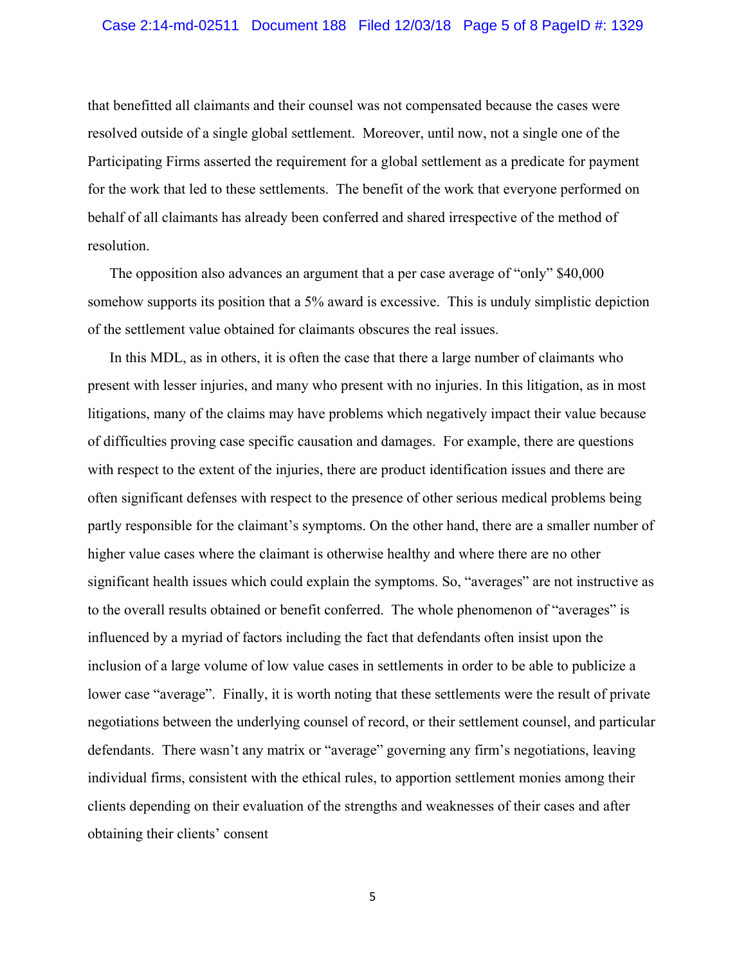## Case 2:14-md-02511 Document 188 Filed 12/03/18 Page 5 of 8 PageID #: 1329

that benefitted all claimants and their counsel was not compensated because the cases were resolved outside of a single global settlement. Moreover, until now, not a single one of the Participating Firms asserted the requirement for a global settlement as a predicate for payment for the work that led to these settlements. The benefit of the work that everyone performed on behalf of all claimants has already been conferred and shared irrespective of the method of resolution.

The opposition also advances an argument that a per case average of "only" \$40,000 somehow supports its position that a 5% award is excessive. This is unduly simplistic depiction of the settlement value obtained for claimants obscures the real issues.

In this MDL, as in others, it is often the case that there a large number of claimants who present with lesser injuries, and many who present with no injuries. In this litigation, as in most litigations, many of the claims may have problems which negatively impact their value because of difficulties proving case specific causation and damages. For example, there are questions with respect to the extent of the injuries, there are product identification issues and there are often significant defenses with respect to the presence of other serious medical problems being partly responsible for the claimant's symptoms. On the other hand, there are a smaller number of higher value cases where the claimant is otherwise healthy and where there are no other significant health issues which could explain the symptoms. So, "averages" are not instructive as to the overall results obtained or benefit conferred. The whole phenomenon of "averages" is influenced by a myriad of factors including the fact that defendants often insist upon the inclusion of a large volume of low value cases in settlements in order to be able to publicize a lower case "average". Finally, it is worth noting that these settlements were the result of private negotiations between the underlying counsel of record, or their settlement counsel, and particular defendants. There wasn't any matrix or "average" governing any firm's negotiations, leaving individual firms, consistent with the ethical rules, to apportion settlement monies among their clients depending on their evaluation of the strengths and weaknesses of their cases and after obtaining their clients' consent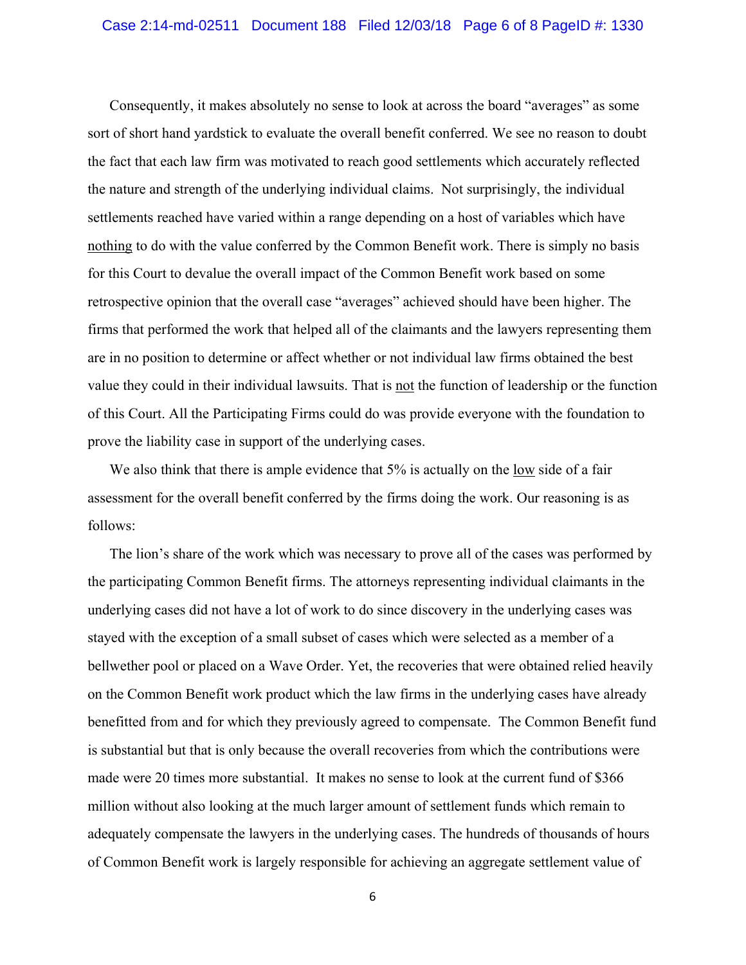Consequently, it makes absolutely no sense to look at across the board "averages" as some sort of short hand yardstick to evaluate the overall benefit conferred. We see no reason to doubt the fact that each law firm was motivated to reach good settlements which accurately reflected the nature and strength of the underlying individual claims. Not surprisingly, the individual settlements reached have varied within a range depending on a host of variables which have nothing to do with the value conferred by the Common Benefit work. There is simply no basis for this Court to devalue the overall impact of the Common Benefit work based on some retrospective opinion that the overall case "averages" achieved should have been higher. The firms that performed the work that helped all of the claimants and the lawyers representing them are in no position to determine or affect whether or not individual law firms obtained the best value they could in their individual lawsuits. That is not the function of leadership or the function of this Court. All the Participating Firms could do was provide everyone with the foundation to prove the liability case in support of the underlying cases.

We also think that there is ample evidence that 5% is actually on the low side of a fair assessment for the overall benefit conferred by the firms doing the work. Our reasoning is as follows:

The lion's share of the work which was necessary to prove all of the cases was performed by the participating Common Benefit firms. The attorneys representing individual claimants in the underlying cases did not have a lot of work to do since discovery in the underlying cases was stayed with the exception of a small subset of cases which were selected as a member of a bellwether pool or placed on a Wave Order. Yet, the recoveries that were obtained relied heavily on the Common Benefit work product which the law firms in the underlying cases have already benefitted from and for which they previously agreed to compensate. The Common Benefit fund is substantial but that is only because the overall recoveries from which the contributions were made were 20 times more substantial. It makes no sense to look at the current fund of \$366 million without also looking at the much larger amount of settlement funds which remain to adequately compensate the lawyers in the underlying cases. The hundreds of thousands of hours of Common Benefit work is largely responsible for achieving an aggregate settlement value of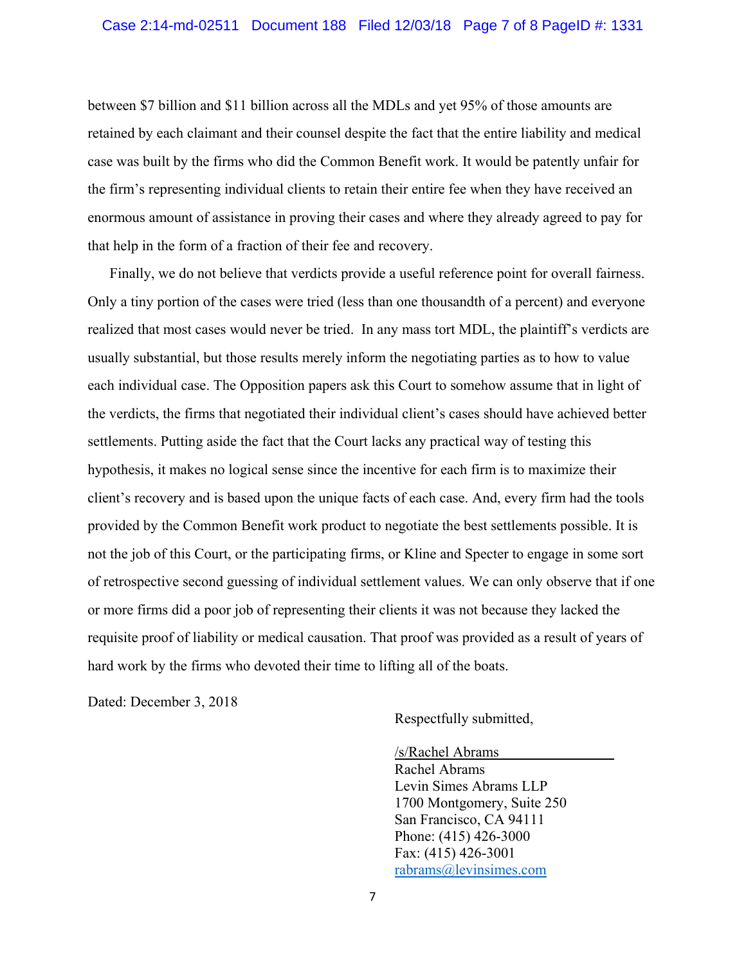between \$7 billion and \$11 billion across all the MDLs and yet 95% of those amounts are retained by each claimant and their counsel despite the fact that the entire liability and medical case was built by the firms who did the Common Benefit work. It would be patently unfair for the firm's representing individual clients to retain their entire fee when they have received an enormous amount of assistance in proving their cases and where they already agreed to pay for that help in the form of a fraction of their fee and recovery.

Finally, we do not believe that verdicts provide a useful reference point for overall fairness. Only a tiny portion of the cases were tried (less than one thousandth of a percent) and everyone realized that most cases would never be tried. In any mass tort MDL, the plaintiff's verdicts are usually substantial, but those results merely inform the negotiating parties as to how to value each individual case. The Opposition papers ask this Court to somehow assume that in light of the verdicts, the firms that negotiated their individual client's cases should have achieved better settlements. Putting aside the fact that the Court lacks any practical way of testing this hypothesis, it makes no logical sense since the incentive for each firm is to maximize their client's recovery and is based upon the unique facts of each case. And, every firm had the tools provided by the Common Benefit work product to negotiate the best settlements possible. It is not the job of this Court, or the participating firms, or Kline and Specter to engage in some sort of retrospective second guessing of individual settlement values. We can only observe that if one or more firms did a poor job of representing their clients it was not because they lacked the requisite proof of liability or medical causation. That proof was provided as a result of years of hard work by the firms who devoted their time to lifting all of the boats.

Dated: December 3, 2018

Respectfully submitted,

/s/Rachel Abrams Rachel Abrams Levin Simes Abrams LLP 1700 Montgomery, Suite 250 San Francisco, CA 94111 Phone: (415) 426-3000 Fax: (415) 426-3001 rabrams@levinsimes.com